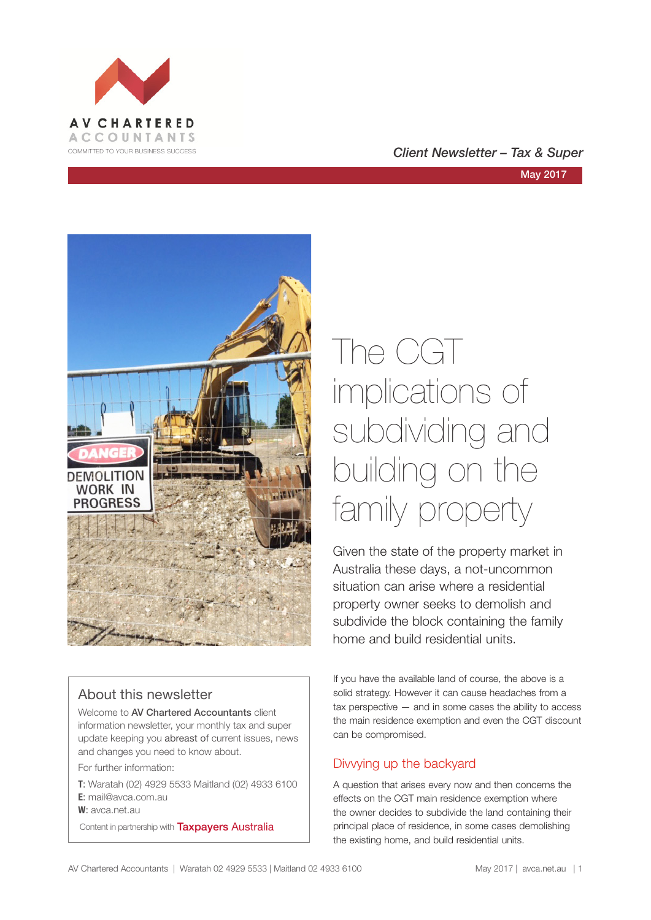

### COMMITTED TO YOUR BUSINESS SUCCESS **COMMITTED TO YOUR BUSINESS SUCCESS**

#### May 2017



## About this newsletter

Welcome to AV Chartered Accountants client information newsletter, your monthly tax and super update keeping you abreast of current issues, news and changes you need to know about.

For further information:

**T**: Waratah (02) 4929 5533 Maitland (02) 4933 6100 **E**: mail@avca.com.au

**W**: avca.net.au

Content in partnership with **Taxpayers Australia** 

# The CGT implications of subdividing and building on the family property

Given the state of the property market in Australia these days, a not-uncommon situation can arise where a residential property owner seeks to demolish and subdivide the block containing the family home and build residential units.

If you have the available land of course, the above is a solid strategy. However it can cause headaches from a tax perspective — and in some cases the ability to access the main residence exemption and even the CGT discount can be compromised.

## Divvying up the backyard

A question that arises every now and then concerns the effects on the CGT main residence exemption where the owner decides to subdivide the land containing their principal place of residence, in some cases demolishing the existing home, and build residential units.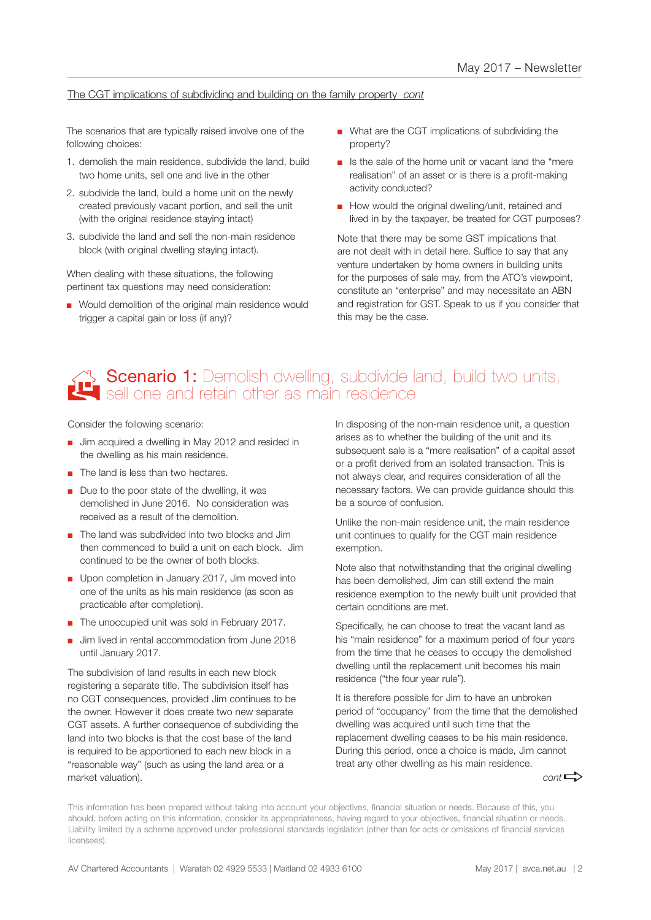### The CGT implications of subdividing and building on the family property *cont*

The scenarios that are typically raised involve one of the following choices:

- 1. demolish the main residence, subdivide the land, build two home units, sell one and live in the other
- 2. subdivide the land, build a home unit on the newly created previously vacant portion, and sell the unit (with the original residence staying intact)
- 3. subdivide the land and sell the non-main residence block (with original dwelling staying intact).

When dealing with these situations, the following pertinent tax questions may need consideration:

■ Would demolition of the original main residence would trigger a capital gain or loss (if any)?

- What are the CGT implications of subdividing the property?
- Is the sale of the home unit or vacant land the "mere" realisation" of an asset or is there is a profit-making activity conducted?
- How would the original dwelling/unit, retained and lived in by the taxpayer, be treated for CGT purposes?

Note that there may be some GST implications that are not dealt with in detail here. Suffice to say that any venture undertaken by home owners in building units for the purposes of sale may, from the ATO's viewpoint, constitute an "enterprise" and may necessitate an ABN and registration for GST. Speak to us if you consider that this may be the case.

# **Scenario 1:** Demolish dwelling, subdivide land, build two units, sell one and retain other as main residence

Consider the following scenario:

- Jim acquired a dwelling in May 2012 and resided in the dwelling as his main residence.
- The land is less than two hectares.
- Due to the poor state of the dwelling, it was demolished in June 2016. No consideration was received as a result of the demolition.
- The land was subdivided into two blocks and Jim then commenced to build a unit on each block. Jim continued to be the owner of both blocks.
- Upon completion in January 2017, Jim moved into one of the units as his main residence (as soon as practicable after completion).
- The unoccupied unit was sold in February 2017.
- Jim lived in rental accommodation from June 2016 until January 2017.

The subdivision of land results in each new block registering a separate title. The subdivision itself has no CGT consequences, provided Jim continues to be the owner. However it does create two new separate CGT assets. A further consequence of subdividing the land into two blocks is that the cost base of the land is required to be apportioned to each new block in a "reasonable way" (such as using the land area or a market valuation).

In disposing of the non-main residence unit, a question arises as to whether the building of the unit and its subsequent sale is a "mere realisation" of a capital asset or a profit derived from an isolated transaction. This is not always clear, and requires consideration of all the necessary factors. We can provide guidance should this be a source of confusion.

Unlike the non-main residence unit, the main residence unit continues to qualify for the CGT main residence exemption.

Note also that notwithstanding that the original dwelling has been demolished, Jim can still extend the main residence exemption to the newly built unit provided that certain conditions are met.

Specifically, he can choose to treat the vacant land as his "main residence" for a maximum period of four years from the time that he ceases to occupy the demolished dwelling until the replacement unit becomes his main residence ("the four year rule").

It is therefore possible for Jim to have an unbroken period of "occupancy" from the time that the demolished dwelling was acquired until such time that the replacement dwelling ceases to be his main residence. During this period, once a choice is made, Jim cannot treat any other dwelling as his main residence.

 $cont \rightarrow$ 

This information has been prepared without taking into account your objectives, financial situation or needs. Because of this, you should, before acting on this information, consider its appropriateness, having regard to your objectives, financial situation or needs. Liability limited by a scheme approved under professional standards legislation (other than for acts or omissions of financial services licensees).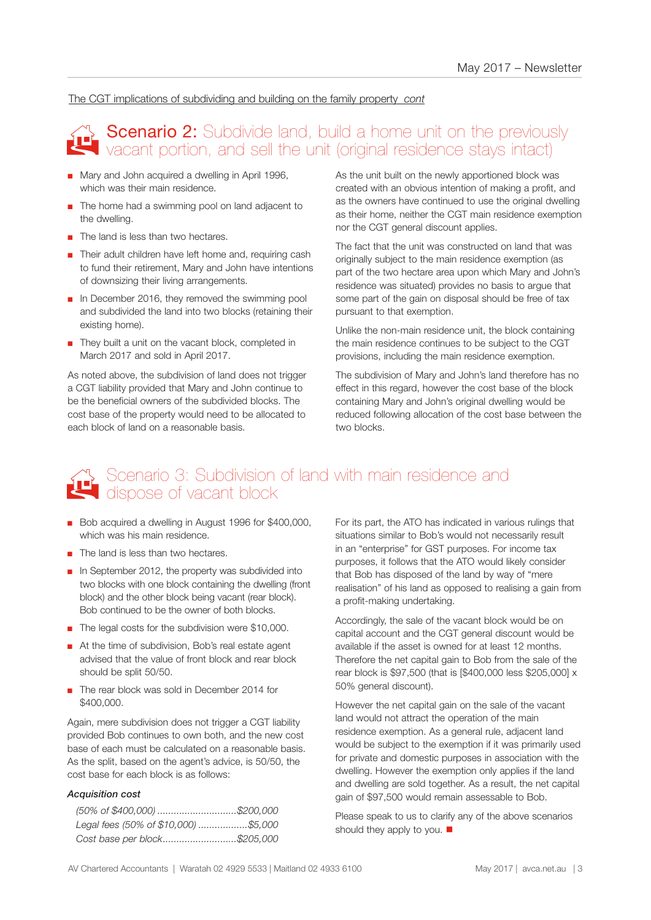### The CGT implications of subdividing and building on the family property *cont*

## Scenario 2: Subdivide land, build a home unit on the previously<br>Vacant portion, and sell the unit (original residence stavs intact) vacant portion, and sell the unit (original residence stays intact)

- Mary and John acquired a dwelling in April 1996. which was their main residence.
- The home had a swimming pool on land adjacent to the dwelling.
- The land is less than two hectares.
- Their adult children have left home and, requiring cash to fund their retirement, Mary and John have intentions of downsizing their living arrangements.
- In December 2016, they removed the swimming pool and subdivided the land into two blocks (retaining their existing home).
- They built a unit on the vacant block, completed in March 2017 and sold in April 2017.

As noted above, the subdivision of land does not trigger a CGT liability provided that Mary and John continue to be the beneficial owners of the subdivided blocks. The cost base of the property would need to be allocated to each block of land on a reasonable basis.

As the unit built on the newly apportioned block was created with an obvious intention of making a profit, and as the owners have continued to use the original dwelling as their home, neither the CGT main residence exemption nor the CGT general discount applies.

The fact that the unit was constructed on land that was originally subject to the main residence exemption (as part of the two hectare area upon which Mary and John's residence was situated) provides no basis to argue that some part of the gain on disposal should be free of tax pursuant to that exemption.

Unlike the non-main residence unit, the block containing the main residence continues to be subject to the CGT provisions, including the main residence exemption.

The subdivision of Mary and John's land therefore has no effect in this regard, however the cost base of the block containing Mary and John's original dwelling would be reduced following allocation of the cost base between the two blocks.

## Scenario 3: Subdivision of land with main residence and Scenario 3: Subdivision<br>dispose of vacant block

- Bob acquired a dwelling in August 1996 for \$400,000, which was his main residence.
- The land is less than two hectares.
- In September 2012, the property was subdivided into two blocks with one block containing the dwelling (front block) and the other block being vacant (rear block). Bob continued to be the owner of both blocks.
- The legal costs for the subdivision were \$10,000.
- At the time of subdivision, Bob's real estate agent advised that the value of front block and rear block should be split 50/50.
- The rear block was sold in December 2014 for \$400,000.

Again, mere subdivision does not trigger a CGT liability provided Bob continues to own both, and the new cost base of each must be calculated on a reasonable basis. As the split, based on the agent's advice, is 50/50, the cost base for each block is as follows:

#### *Acquisition cost*

| Legal fees (50% of \$10,000) \$5,000 |  |
|--------------------------------------|--|
| Cost base per block\$205,000         |  |

For its part, the ATO has indicated in various rulings that situations similar to Bob's would not necessarily result in an "enterprise" for GST purposes. For income tax purposes, it follows that the ATO would likely consider that Bob has disposed of the land by way of "mere realisation" of his land as opposed to realising a gain from a profit-making undertaking.

Accordingly, the sale of the vacant block would be on capital account and the CGT general discount would be available if the asset is owned for at least 12 months. Therefore the net capital gain to Bob from the sale of the rear block is \$97,500 (that is [\$400,000 less \$205,000] x 50% general discount).

However the net capital gain on the sale of the vacant land would not attract the operation of the main residence exemption. As a general rule, adjacent land would be subject to the exemption if it was primarily used for private and domestic purposes in association with the dwelling. However the exemption only applies if the land and dwelling are sold together. As a result, the net capital gain of \$97,500 would remain assessable to Bob.

Please speak to us to clarify any of the above scenarios should they apply to you.  $\blacksquare$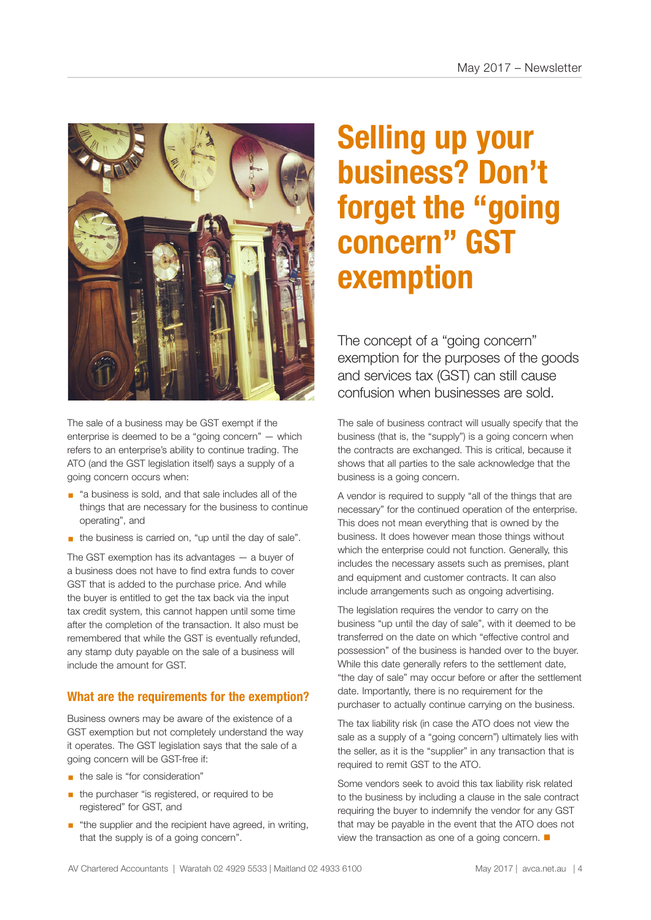

The sale of a business may be GST exempt if the enterprise is deemed to be a "going concern" — which refers to an enterprise's ability to continue trading. The ATO (and the GST legislation itself) says a supply of a going concern occurs when:

- "a business is sold, and that sale includes all of the things that are necessary for the business to continue operating", and
- the business is carried on, "up until the day of sale".

The GST exemption has its advantages — a buyer of a business does not have to find extra funds to cover GST that is added to the purchase price. And while the buyer is entitled to get the tax back via the input tax credit system, this cannot happen until some time after the completion of the transaction. It also must be remembered that while the GST is eventually refunded, any stamp duty payable on the sale of a business will include the amount for GST.

## **What are the requirements for the exemption?**

Business owners may be aware of the existence of a GST exemption but not completely understand the way it operates. The GST legislation says that the sale of a going concern will be GST-free if:

- **•** the sale is "for consideration"
- **•** the purchaser "is registered, or required to be registered" for GST, and
- "the supplier and the recipient have agreed, in writing, that the supply is of a going concern".

# **Selling up your business? Don't forget the "going concern" GST exemption**

The concept of a "going concern" exemption for the purposes of the goods and services tax (GST) can still cause confusion when businesses are sold.

The sale of business contract will usually specify that the business (that is, the "supply") is a going concern when the contracts are exchanged. This is critical, because it shows that all parties to the sale acknowledge that the business is a going concern.

A vendor is required to supply "all of the things that are necessary" for the continued operation of the enterprise. This does not mean everything that is owned by the business. It does however mean those things without which the enterprise could not function. Generally, this includes the necessary assets such as premises, plant and equipment and customer contracts. It can also include arrangements such as ongoing advertising.

The legislation requires the vendor to carry on the business "up until the day of sale", with it deemed to be transferred on the date on which "effective control and possession" of the business is handed over to the buyer. While this date generally refers to the settlement date, "the day of sale" may occur before or after the settlement date. Importantly, there is no requirement for the purchaser to actually continue carrying on the business.

The tax liability risk (in case the ATO does not view the sale as a supply of a "going concern") ultimately lies with the seller, as it is the "supplier" in any transaction that is required to remit GST to the ATO.

Some vendors seek to avoid this tax liability risk related to the business by including a clause in the sale contract requiring the buyer to indemnify the vendor for any GST that may be payable in the event that the ATO does not view the transaction as one of a going concern.  $\blacksquare$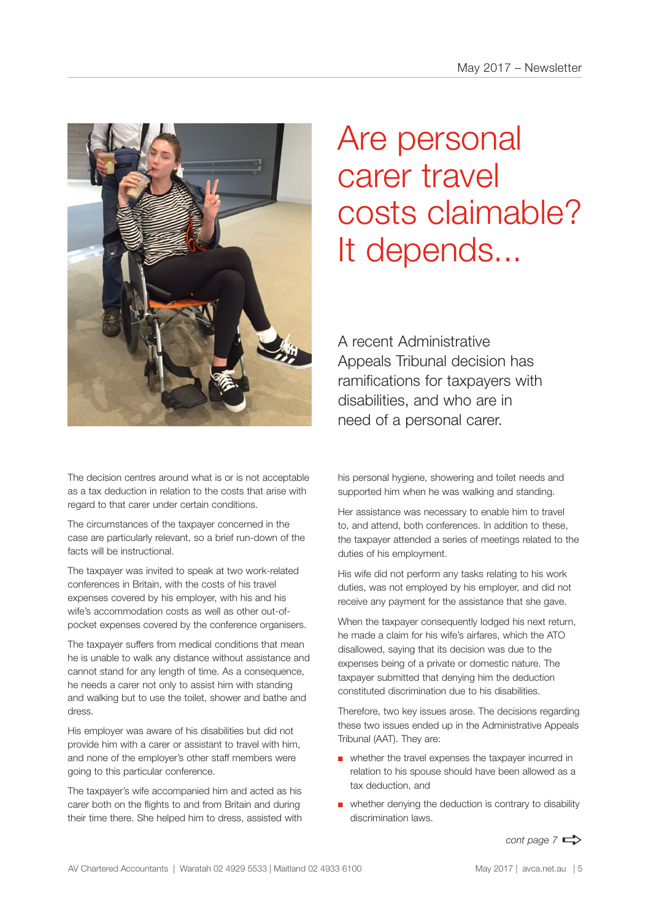

The decision centres around what is or is not acceptable as a tax deduction in relation to the costs that arise with regard to that carer under certain conditions.

The circumstances of the taxpayer concerned in the case are particularly relevant, so a brief run-down of the facts will be instructional.

The taxpayer was invited to speak at two work-related conferences in Britain, with the costs of his travel expenses covered by his employer, with his and his wife's accommodation costs as well as other out-ofpocket expenses covered by the conference organisers.

The taxpayer suffers from medical conditions that mean he is unable to walk any distance without assistance and cannot stand for any length of time. As a consequence, he needs a carer not only to assist him with standing and walking but to use the toilet, shower and bathe and dress.

His employer was aware of his disabilities but did not provide him with a carer or assistant to travel with him, and none of the employer's other staff members were going to this particular conference.

The taxpayer's wife accompanied him and acted as his carer both on the flights to and from Britain and during their time there. She helped him to dress, assisted with

# Are personal carer travel costs claimable? It depends...

A recent Administrative Appeals Tribunal decision has ramifications for taxpayers with disabilities, and who are in need of a personal carer.

his personal hygiene, showering and toilet needs and supported him when he was walking and standing.

Her assistance was necessary to enable him to travel to, and attend, both conferences. In addition to these, the taxpayer attended a series of meetings related to the duties of his employment.

His wife did not perform any tasks relating to his work duties, was not employed by his employer, and did not receive any payment for the assistance that she gave.

When the taxpayer consequently lodged his next return, he made a claim for his wife's airfares, which the ATO disallowed, saying that its decision was due to the expenses being of a private or domestic nature. The taxpayer submitted that denying him the deduction constituted discrimination due to his disabilities.

Therefore, two key issues arose. The decisions regarding these two issues ended up in the Administrative Appeals Tribunal (AAT). They are:

- whether the travel expenses the taxpayer incurred in relation to his spouse should have been allowed as a tax deduction, and
- whether denying the deduction is contrary to disability discrimination laws.

*cont page 7*  $\Rightarrow$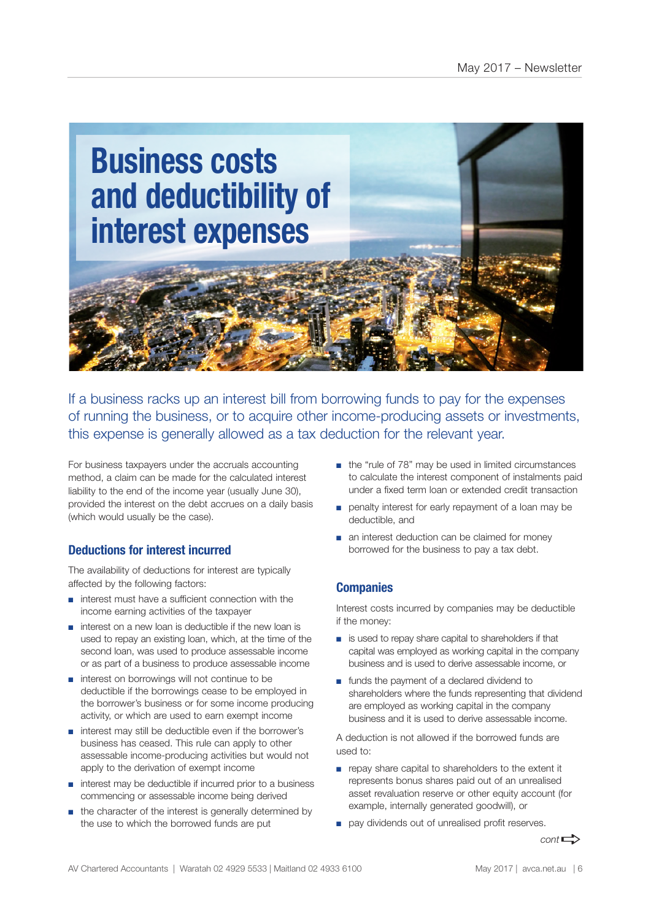

If a business racks up an interest bill from borrowing funds to pay for the expenses of running the business, or to acquire other income-producing assets or investments, this expense is generally allowed as a tax deduction for the relevant year.

For business taxpayers under the accruals accounting method, a claim can be made for the calculated interest liability to the end of the income year (usually June 30), provided the interest on the debt accrues on a daily basis (which would usually be the case).

## **Deductions for interest incurred**

The availability of deductions for interest are typically affected by the following factors:

- interest must have a sufficient connection with the income earning activities of the taxpayer
- interest on a new loan is deductible if the new loan is used to repay an existing loan, which, at the time of the second loan, was used to produce assessable income or as part of a business to produce assessable income
- interest on borrowings will not continue to be deductible if the borrowings cease to be employed in the borrower's business or for some income producing activity, or which are used to earn exempt income
- interest may still be deductible even if the borrower's business has ceased. This rule can apply to other assessable income-producing activities but would not apply to the derivation of exempt income
- interest may be deductible if incurred prior to a business commencing or assessable income being derived
- the character of the interest is generally determined by the use to which the borrowed funds are put
- the "rule of 78" may be used in limited circumstances to calculate the interest component of instalments paid under a fixed term loan or extended credit transaction
- penalty interest for early repayment of a loan may be deductible, and
- an interest deduction can be claimed for money borrowed for the business to pay a tax debt.

### **Companies**

Interest costs incurred by companies may be deductible if the money:

- is used to repay share capital to shareholders if that capital was employed as working capital in the company business and is used to derive assessable income, or
- funds the payment of a declared dividend to shareholders where the funds representing that dividend are employed as working capital in the company business and it is used to derive assessable income.

A deduction is not allowed if the borrowed funds are used to:

- repay share capital to shareholders to the extent it represents bonus shares paid out of an unrealised asset revaluation reserve or other equity account (for example, internally generated goodwill), or
- pay dividends out of unrealised profit reserves.

 $cont \rightarrow$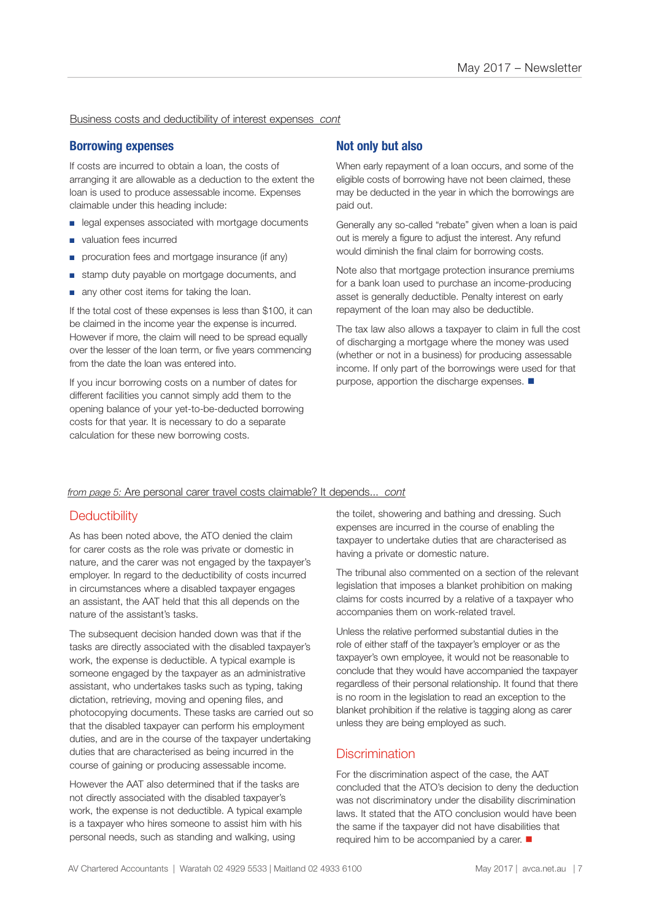Business costs and deductibility of interest expenses *cont*

### **Borrowing expenses**

If costs are incurred to obtain a loan, the costs of arranging it are allowable as a deduction to the extent the loan is used to produce assessable income. Expenses claimable under this heading include:

- legal expenses associated with mortgage documents
- valuation fees incurred
- procuration fees and mortgage insurance (if any)
- stamp duty payable on mortgage documents, and
- any other cost items for taking the loan.

If the total cost of these expenses is less than \$100, it can be claimed in the income year the expense is incurred. However if more, the claim will need to be spread equally over the lesser of the loan term, or five years commencing from the date the loan was entered into.

If you incur borrowing costs on a number of dates for different facilities you cannot simply add them to the opening balance of your yet-to-be-deducted borrowing costs for that year. It is necessary to do a separate calculation for these new borrowing costs.

### **Not only but also**

When early repayment of a loan occurs, and some of the eligible costs of borrowing have not been claimed, these may be deducted in the year in which the borrowings are paid out.

Generally any so-called "rebate" given when a loan is paid out is merely a figure to adjust the interest. Any refund would diminish the final claim for borrowing costs.

Note also that mortgage protection insurance premiums for a bank loan used to purchase an income-producing asset is generally deductible. Penalty interest on early repayment of the loan may also be deductible.

The tax law also allows a taxpayer to claim in full the cost of discharging a mortgage where the money was used (whether or not in a business) for producing assessable income. If only part of the borrowings were used for that purpose, apportion the discharge expenses.  $\blacksquare$ 

#### *from page 5:* Are personal carer travel costs claimable? It depends... *cont*

## **Deductibility**

As has been noted above, the ATO denied the claim for carer costs as the role was private or domestic in nature, and the carer was not engaged by the taxpayer's employer. In regard to the deductibility of costs incurred in circumstances where a disabled taxpayer engages an assistant, the AAT held that this all depends on the nature of the assistant's tasks.

The subsequent decision handed down was that if the tasks are directly associated with the disabled taxpayer's work, the expense is deductible. A typical example is someone engaged by the taxpayer as an administrative assistant, who undertakes tasks such as typing, taking dictation, retrieving, moving and opening files, and photocopying documents. These tasks are carried out so that the disabled taxpayer can perform his employment duties, and are in the course of the taxpayer undertaking duties that are characterised as being incurred in the course of gaining or producing assessable income.

However the AAT also determined that if the tasks are not directly associated with the disabled taxpayer's work, the expense is not deductible. A typical example is a taxpayer who hires someone to assist him with his personal needs, such as standing and walking, using

the toilet, showering and bathing and dressing. Such expenses are incurred in the course of enabling the taxpayer to undertake duties that are characterised as having a private or domestic nature.

The tribunal also commented on a section of the relevant legislation that imposes a blanket prohibition on making claims for costs incurred by a relative of a taxpayer who accompanies them on work-related travel.

Unless the relative performed substantial duties in the role of either staff of the taxpayer's employer or as the taxpayer's own employee, it would not be reasonable to conclude that they would have accompanied the taxpayer regardless of their personal relationship. It found that there is no room in the legislation to read an exception to the blanket prohibition if the relative is tagging along as carer unless they are being employed as such.

## **Discrimination**

For the discrimination aspect of the case, the AAT concluded that the ATO's decision to deny the deduction was not discriminatory under the disability discrimination laws. It stated that the ATO conclusion would have been the same if the taxpayer did not have disabilities that required him to be accompanied by a carer.  $\blacksquare$